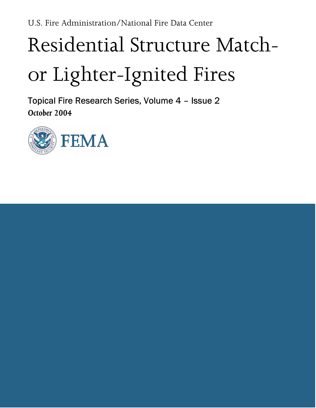# Residential Structure Match− or Lighter−Ignited Fires

Topical Fire Research Series, Volume 4 – Issue 2 October 2004

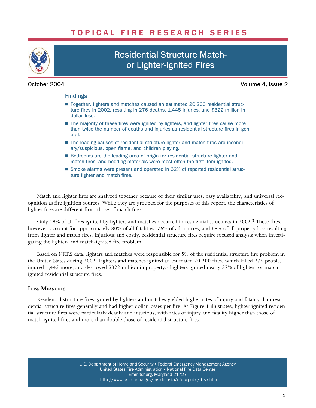## TOPICAL FIRE RESEARCH SERIES



# Residential Structure Match− or Lighter−Ignited Fires

October 2004 Volume 4, Issue 2

#### Findings

- Together, lighters and matches caused an estimated 20,200 residential struc ture fires in 2002, resulting in 276 deaths, 1,445 injuries, and \$322 million in dollar loss.
- The majority of these fires were ignited by lighters, and lighter fires cause more than twice the number of deaths and injuries as residential structure fires in general.
- The leading causes of residential structure lighter and match fires are incendiary/suspicious, open flame, and children playing.
- Bedrooms are the leading area of origin for residential structure lighter and match fires, and bedding materials were most often the first item ignited.
- Smoke alarms were present and operated in 32% of reported residential structure lighter and match fires.

Match and lighter fires are analyzed together because of their similar uses, easy availability, and universal recognition as fire ignition sources. While they are grouped for the purposes of this report, the characteristics of lighter fires are different from those of match fires.<sup>1</sup>

Only 19% of all fires ignited by lighters and matches occurred in residential structures in 2002.<sup>2</sup> These fires, however, account for approximately 80% of all fatalities, 76% of all injuries, and 68% of all property loss resulting from lighter and match fires. Injurious and costly, residential structure fires require focused analysis when investigating the lighter− and match−ignited fire problem.

Based on NFIRS data, lighters and matches were responsible for 5% of the residential structure fire problem in the United States during 2002. Lighters and matches ignited an estimated 20,200 fires, which killed 276 people, injured 1,445 more, and destroyed \$322 million in property.3 Lighters ignited nearly 57% of lighter− or match− ignited residential structure fires.

### LOSS MEASURES

Residential structure fires ignited by lighters and matches yielded higher rates of injury and fatality than residential structure fires generally and had higher dollar losses per fire. As Figure 1 illustrates, lighter−ignited residential structure fires were particularly deadly and injurious, with rates of injury and fatality higher than those of match−ignited fires and more than double those of residential structure fires.

> U.S. Department of Homeland Security • Federal Emergency Management Agency United States Fire Administration . National Fire Data Center Emmitsburg, Maryland 21727 [http://www.usfa.fema.gov/inside−usfa/nfdc/pubs/tfrs.shtm](http://www.usfa.fema.gov/inside%E2%88%92usfa/nfdc/pubs/tfrs.shtm)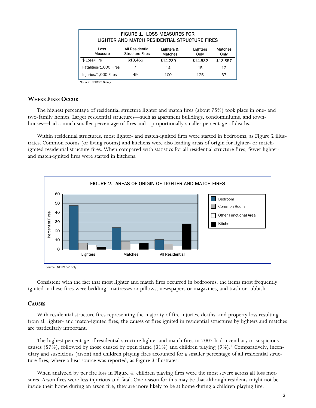| <b>FIGURE 1. LOSS MEASURES FOR</b><br>LIGHTER AND MATCH RESIDENTIAL STRUCTURE FIRES |                                           |                              |                  |                 |  |  |
|-------------------------------------------------------------------------------------|-------------------------------------------|------------------------------|------------------|-----------------|--|--|
| Loss<br>Measure                                                                     | All Residential<br><b>Structure Fires</b> | Lighters &<br><b>Matches</b> | Lighters<br>Only | Matches<br>Only |  |  |
| \$ Loss/Fire                                                                        | \$13,465                                  | \$14.239                     | \$14.532         | \$13,857        |  |  |
| Fatalities/1,000 Fires                                                              |                                           | 14                           | 15               | 12              |  |  |
| Injuries/1,000 Fires                                                                | 49                                        | 100                          | 125              | 67              |  |  |

Source: NEIRS 5.0 only

#### WHERE FIRES OCCUR

The highest percentage of residential structure lighter and match fires (about 75%) took place in one− and two−family homes. Larger residential structures—such as apartment buildings, condominiums, and townhouses—had a much smaller percentage of fires and a proportionally smaller percentage of deaths.

Within residential structures, most lighter− and match−ignited fires were started in bedrooms, as Figure 2 illustrates. Common rooms (or living rooms) and kitchens were also leading areas of origin for lighter− or match− ignited residential structure fires. When compared with statistics for all residential structure fires, fewer lighter− and match−ignited fires were started in kitchens.



Source: NFIRS 5.0 only

Consistent with the fact that most lighter and match fires occurred in bedrooms, the items most frequently ignited in these fires were bedding, mattresses or pillows, newspapers or magazines, and trash or rubbish.

#### **CAUSES**

With residential structure fires representing the majority of fire injuries, deaths, and property loss resulting from all lighter− and match−ignited fires, the causes of fires ignited in residential structures by lighters and matches are particularly important.

The highest percentage of residential structure lighter and match fires in 2002 had incendiary or suspicious causes (57%), followed by those caused by open flame (31%) and children playing (9%).<sup>4</sup> Comparatively, incendiary and suspicious (arson) and children playing fires accounted for a smaller percentage of all residential structure fires, where a heat source was reported, as Figure 3 illustrates.

When analyzed by per fire loss in Figure 4, children playing fires were the most severe across all loss measures. Arson fires were less injurious and fatal. One reason for this may be that although residents might not be inside their home during an arson fire, they are more likely to be at home during a children playing fire.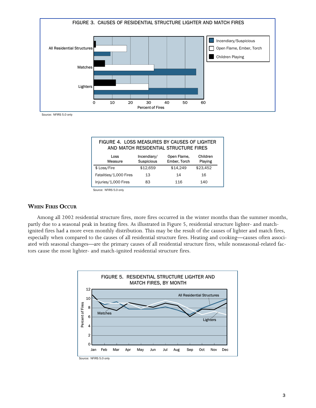

Source: NFIRS 5.0 only

| FIGURE 4. LOSS MEASURES BY CAUSES OF LIGHTER<br>AND MATCH RESIDENTIAL STRUCTURE FIRES |                           |                             |                     |  |  |  |
|---------------------------------------------------------------------------------------|---------------------------|-----------------------------|---------------------|--|--|--|
| Loss<br>Measure                                                                       | Incendiary/<br>Suspicious | Open Flame,<br>Ember, Torch | Children<br>Playing |  |  |  |
| \$ Loss/Fire                                                                          | \$12,659                  | \$14.249                    | \$23,452            |  |  |  |
| Fatalities/1,000 Fires                                                                | 13                        | 14                          | 16                  |  |  |  |
| Injuries/1,000 Fires                                                                  | 83                        | 116                         | 140                 |  |  |  |

Source: NFIRS 5.0 only

#### WHEN FIRES OCCUR

Among all 2002 residential structure fires, more fires occurred in the winter months than the summer months, partly due to a seasonal peak in heating fires. As illustrated in Figure 5, residential structure lighter− and match− ignited fires had a more even monthly distribution. This may be the result of the causes of lighter and match fires, especially when compared to the causes of all residential structure fires. Heating and cooking—causes often associated with seasonal changes—are the primary causes of all residential structure fires, while nonseasonal−related factors cause the most lighter− and match−ignited residential structure fires.

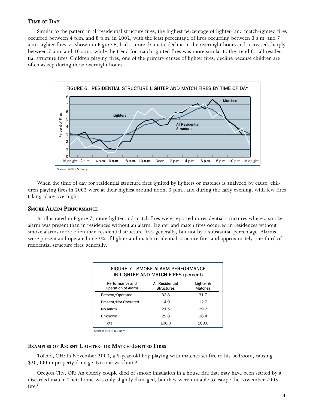### TIME OF DAY

Similar to the pattern in all residential structure fires, the highest percentage of lighter− and match−ignited fires occurred between 4 p.m. and 8 p.m. in 2002, with the least percentage of fires occurring between 3 a.m. and 7 a.m. Lighter fires, as shown in Figure 6, had a more dramatic decline in the overnight hours and increased sharply between 7 a.m. and 10 a.m., while the trend for match−ignited fires was more similar to the trend for all residential structure fires. Children playing fires, one of the primary causes of lighter fires, decline because children are often asleep during these overnight hours.



When the time of day for residential structure fires ignited by lighters or matches is analyzed by cause, children playing fires in 2002 were at their highest around noon, 3 p.m., and during the early evening, with few fires taking place overnight.

#### SMOKE ALARM PERFORMANCE

As illustrated in Figure 7, more lighter and match fires were reported in residential structures where a smoke alarm was present than in residences without an alarm. Lighter and match fires occurred in residences without smoke alarms more often than residential structure fires generally, but not by a substantial percentage. Alarms were present and operated in 32% of lighter and match residential structure fires and approximately one−third of residential structure fires generally.

| FIGURE 7. SMOKE ALARM PERFORMANCE<br>IN LIGHTER AND MATCH FIRES (percent) |                                      |                             |  |  |  |  |
|---------------------------------------------------------------------------|--------------------------------------|-----------------------------|--|--|--|--|
| Performance and<br><b>Operation of Alarm</b>                              | All Residential<br><b>Structures</b> | Lighter &<br><b>Matches</b> |  |  |  |  |
| Present/Operated                                                          | 33.8                                 | 31.7                        |  |  |  |  |
| Present/Not Operated                                                      | 14.9                                 | 12.7                        |  |  |  |  |
| No Alarm                                                                  | 21.5                                 | 29.2                        |  |  |  |  |
| Unknown                                                                   | 29.8                                 | 26.4                        |  |  |  |  |
| Total                                                                     | 100.0                                | 100.0                       |  |  |  |  |

Source: NFIRS 5.0 only

#### EXAMPLES OF RECENT LIGHTER− OR MATCH−IGNITED FIRES

Toledo, OH: In November 2003, a 5−year−old boy playing with matches set fire to his bedroom, causing \$20,000 in property damage. No one was hurt.<sup>5</sup>

Oregon City, OR: An elderly couple died of smoke inhalation in a house fire that may have been started by a discarded match. Their home was only slightly damaged, but they were not able to escape the November 2003 fire.<sup>6</sup>